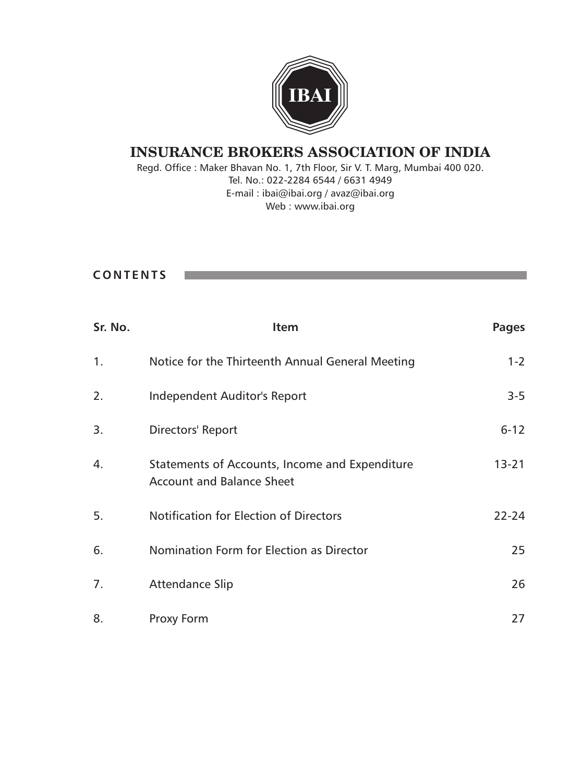

Regd. Office : Maker Bhavan No. 1, 7th Floor, Sir V. T. Marg, Mumbai 400 020. Tel. No.: 022-2284 6544 / 6631 4949 E-mail : ibai@ibai.org / avaz@ibai.org Web : www.ibai.org

### **C O N T E N T S**

**The Company** 

| Sr. No. | <b>Item</b>                                                                        | <b>Pages</b> |
|---------|------------------------------------------------------------------------------------|--------------|
| 1.      | Notice for the Thirteenth Annual General Meeting                                   | $1 - 2$      |
| 2.      | Independent Auditor's Report                                                       | $3 - 5$      |
| 3.      | Directors' Report                                                                  | $6 - 12$     |
| 4.      | Statements of Accounts, Income and Expenditure<br><b>Account and Balance Sheet</b> | $13 - 21$    |
| 5.      | <b>Notification for Election of Directors</b>                                      | $22 - 24$    |
| 6.      | Nomination Form for Election as Director                                           | 25           |
| 7.      | <b>Attendance Slip</b>                                                             | 26           |
| 8.      | Proxy Form                                                                         | 27           |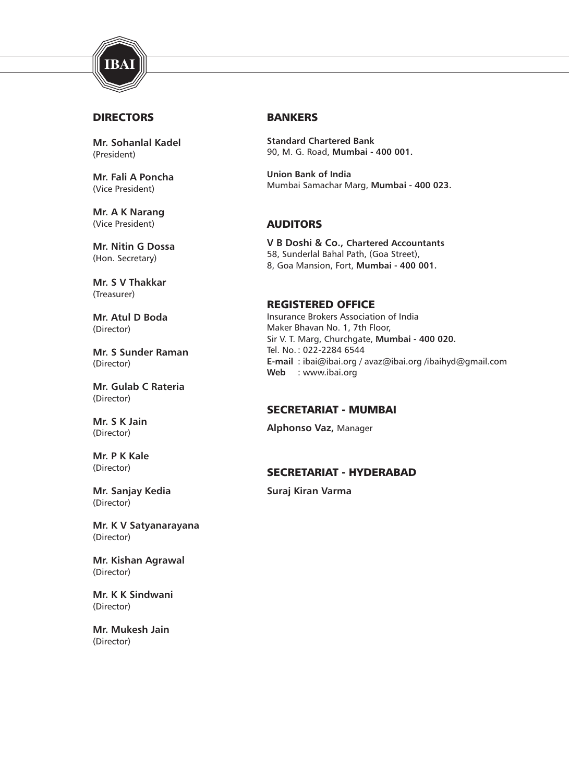

#### **DIRECTORS**

**Mr. Sohanlal Kadel** (President)

**Mr. Fali A Poncha** (Vice President)

**Mr. A K Narang** (Vice President)

**Mr. Nitin G Dossa** (Hon. Secretary)

**Mr. S V Thakkar** (Treasurer)

**Mr. Atul D Boda** (Director)

**Mr. S Sunder Raman** (Director)

**Mr. Gulab C Rateria** (Director)

**Mr. S K Jain** (Director)

**Mr. P K Kale** (Director)

**Mr. Sanjay Kedia** (Director)

**Mr. K V Satyanarayana** (Director)

**Mr. Kishan Agrawal** (Director)

**Mr. K K Sindwani** (Director)

**Mr. Mukesh Jain** (Director)

#### BANKERS

**Standard Chartered Bank** 90, M. G. Road, **Mumbai - 400 001.**

**Union Bank of India** Mumbai Samachar Marg, **Mumbai - 400 023.**

### AUDITORS

**V B Doshi & Co., Chartered Accountants** 58, Sunderlal Bahal Path, (Goa Street), 8, Goa Mansion, Fort, **Mumbai - 400 001.**

#### REGISTERED OFFICE

Insurance Brokers Association of India Maker Bhavan No. 1, 7th Floor, Sir V. T. Marg, Churchgate, **Mumbai - 400 020.** Tel. No. : 022-2284 6544 **E-mail** : ibai@ibai.org / avaz@ibai.org /ibaihyd@gmail.com **Web** : www.ibai.org

#### SECRETARIAT - MUMBAI

**Alphonso Vaz,** Manager

#### SECRETARIAT - HYDERABAD

**Suraj Kiran Varma**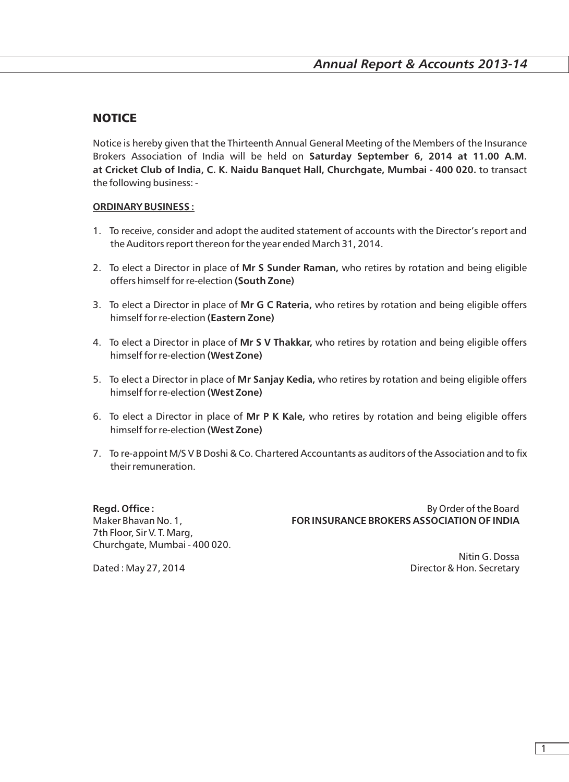### **NOTICE**

Notice is hereby given that the Thirteenth Annual General Meeting of the Members of the Insurance Brokers Association of India will be held on **Saturday September 6, 2014 at 11.00 A.M. at Cricket Club of India, C. K. Naidu Banquet Hall, Churchgate, Mumbai - 400 020.** to transact the following business: -

#### **ORDINARY BUSINESS :**

- 1. To receive, consider and adopt the audited statement of accounts with the Director's report and the Auditors report thereon for the year ended March 31, 2014.
- 2. To elect a Director in place of **Mr S Sunder Raman,** who retires by rotation and being eligible offers himself for re-election **(South Zone)**
- 3. To elect a Director in place of **Mr G C Rateria,** who retires by rotation and being eligible offers himself for re-election **(Eastern Zone)**
- 4. To elect a Director in place of **Mr S V Thakkar,** who retires by rotation and being eligible offers himself for re-election **(West Zone)**
- 5. To elect a Director in place of **Mr Sanjay Kedia,** who retires by rotation and being eligible offers himself for re-election **(West Zone)**
- 6. To elect a Director in place of **Mr P K Kale,** who retires by rotation and being eligible offers himself for re-election **(West Zone)**
- 7. To re-appoint M/S V B Doshi & Co. Chartered Accountants as auditors of the Association and to fix their remuneration.

7th Floor, Sir V. T. Marg, Churchgate, Mumbai - 400 020.

**Regd. Office :** By Order of the Board Maker Bhavan No. 1, **FOR INSURANCE BROKERS ASSOCIATION OF INDIA**

Nitin G. Dossa Dated : May 27, 2014 **Director & Hon. Secretary** 

1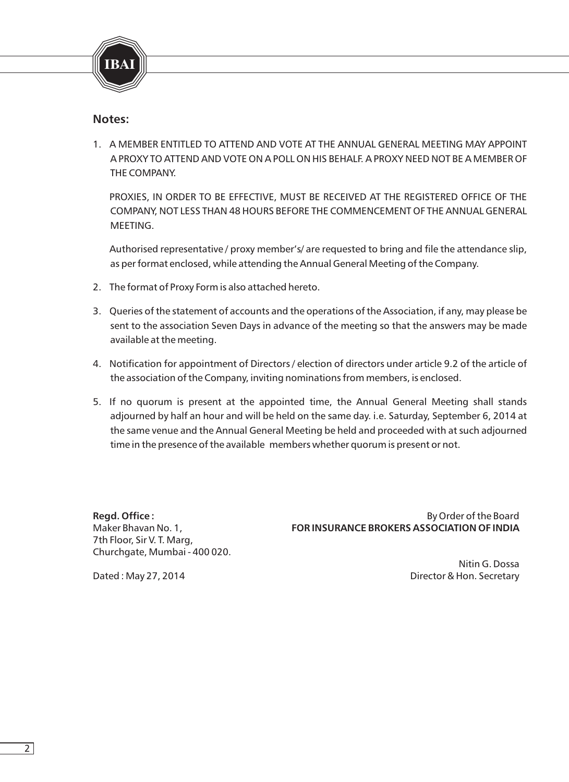

#### **Notes:**

1. A MEMBER ENTITLED TO ATTEND AND VOTE AT THE ANNUAL GENERAL MEETING MAY APPOINT A PROXY TO ATTEND AND VOTE ON A POLL ON HIS BEHALF. A PROXY NEED NOT BE A MEMBER OF THE COMPANY.

PROXIES, IN ORDER TO BE EFFECTIVE, MUST BE RECEIVED AT THE REGISTERED OFFICE OF THE COMPANY, NOT LESS THAN 48 HOURS BEFORE THE COMMENCEMENT OF THE ANNUAL GENERAL MEETING.

Authorised representative / proxy member's/ are requested to bring and file the attendance slip, as per format enclosed, while attending the Annual General Meeting of the Company.

- 2. The format of Proxy Form is also attached hereto.
- 3. Queries of the statement of accounts and the operations of the Association, if any, may please be sent to the association Seven Days in advance of the meeting so that the answers may be made available at the meeting.
- 4. Notification for appointment of Directors / election of directors under article 9.2 of the article of the association of the Company, inviting nominations from members, is enclosed.
- 5. If no quorum is present at the appointed time, the Annual General Meeting shall stands adjourned by half an hour and will be held on the same day. i.e. Saturday, September 6, 2014 at the same venue and the Annual General Meeting be held and proceeded with at such adjourned time in the presence of the available members whether quorum is present or not.

7th Floor, Sir V. T. Marg, Churchgate, Mumbai - 400 020.

**Regd. Office :** By Order of the Board in the Board in the Board in the Board in the Board in the Board in the Board in the Board in the Board in the Board in the Board in the Board in the Board in the Board in the Board i Maker Bhavan No. 1, **FOR INSURANCE BROKERS ASSOCIATION OF INDIA**

Nitin G. Dossa Dated : May 27, 2014 **Director & Hon. Secretary**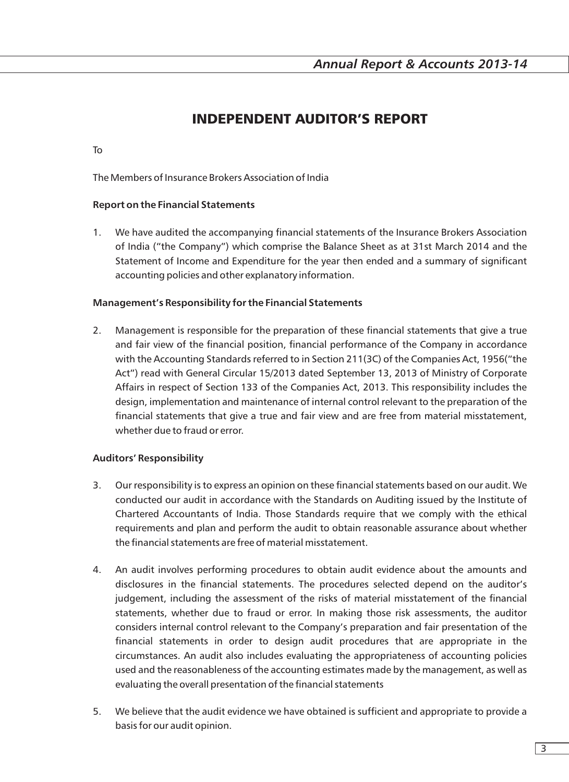## INDEPENDENT AUDITOR'S REPORT

#### To

The Members of Insurance Brokers Association of India

#### **Report on the Financial Statements**

1. We have audited the accompanying financial statements of the Insurance Brokers Association of India ("the Company") which comprise the Balance Sheet as at 31st March 2014 and the Statement of Income and Expenditure for the year then ended and a summary of significant accounting policies and other explanatory information.

#### **Management's Responsibility for the Financial Statements**

2. Management is responsible for the preparation of these financial statements that give a true and fair view of the financial position, financial performance of the Company in accordance with the Accounting Standards referred to in Section 211(3C) of the Companies Act, 1956("the Act") read with General Circular 15/2013 dated September 13, 2013 of Ministry of Corporate Affairs in respect of Section 133 of the Companies Act, 2013. This responsibility includes the design, implementation and maintenance of internal control relevant to the preparation of the financial statements that give a true and fair view and are free from material misstatement, whether due to fraud or error.

#### **Auditors' Responsibility**

- 3. Our responsibility is to express an opinion on these financial statements based on our audit. We conducted our audit in accordance with the Standards on Auditing issued by the Institute of Chartered Accountants of India. Those Standards require that we comply with the ethical requirements and plan and perform the audit to obtain reasonable assurance about whether the financial statements are free of material misstatement.
- 4. An audit involves performing procedures to obtain audit evidence about the amounts and disclosures in the financial statements. The procedures selected depend on the auditor's judgement, including the assessment of the risks of material misstatement of the financial statements, whether due to fraud or error. In making those risk assessments, the auditor considers internal control relevant to the Company's preparation and fair presentation of the financial statements in order to design audit procedures that are appropriate in the circumstances. An audit also includes evaluating the appropriateness of accounting policies used and the reasonableness of the accounting estimates made by the management, as well as evaluating the overall presentation of the financial statements
- 5. We believe that the audit evidence we have obtained is sufficient and appropriate to provide a basis for our audit opinion.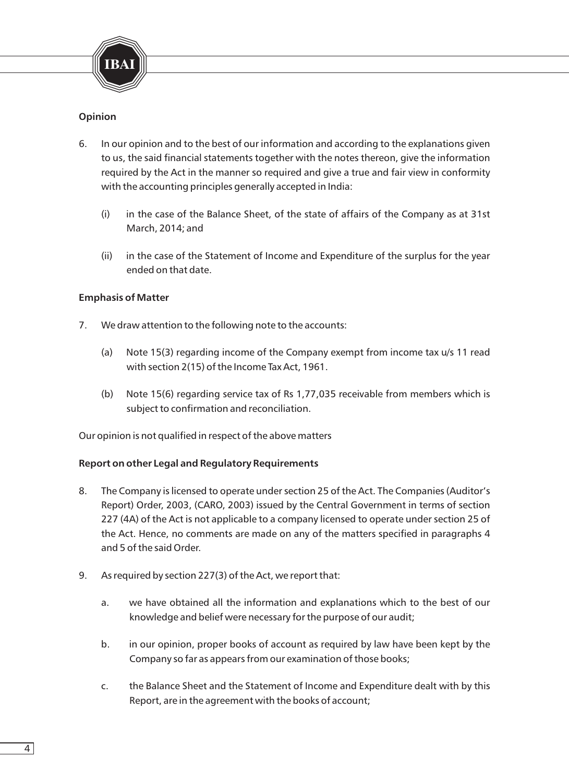

#### **Opinion**

- 6. In our opinion and to the best of our information and according to the explanations given to us, the said financial statements together with the notes thereon, give the information required by the Act in the manner so required and give a true and fair view in conformity with the accounting principles generally accepted in India:
	- (i) in the case of the Balance Sheet, of the state of affairs of the Company as at 31st March, 2014; and
	- (ii) in the case of the Statement of Income and Expenditure of the surplus for the year ended on that date.

#### **Emphasis of Matter**

- 7. We draw attention to the following note to the accounts:
	- (a) Note 15(3) regarding income of the Company exempt from income tax u/s 11 read with section 2(15) of the Income Tax Act, 1961.
	- (b) Note 15(6) regarding service tax of Rs 1,77,035 receivable from members which is subject to confirmation and reconciliation.

Our opinion is not qualified in respect of the above matters

#### **Report on other Legal and Regulatory Requirements**

- 8. The Company is licensed to operate under section 25 of the Act. The Companies (Auditor's Report) Order, 2003, (CARO, 2003) issued by the Central Government in terms of section 227 (4A) of the Act is not applicable to a company licensed to operate under section 25 of the Act. Hence, no comments are made on any of the matters specified in paragraphs 4 and 5 of the said Order.
- 9. As required by section 227(3) of the Act, we report that:
	- a. we have obtained all the information and explanations which to the best of our knowledge and belief were necessary for the purpose of our audit;
	- b. in our opinion, proper books of account as required by law have been kept by the Company so far as appears from our examination of those books;
	- c. the Balance Sheet and the Statement of Income and Expenditure dealt with by this Report, are in the agreement with the books of account;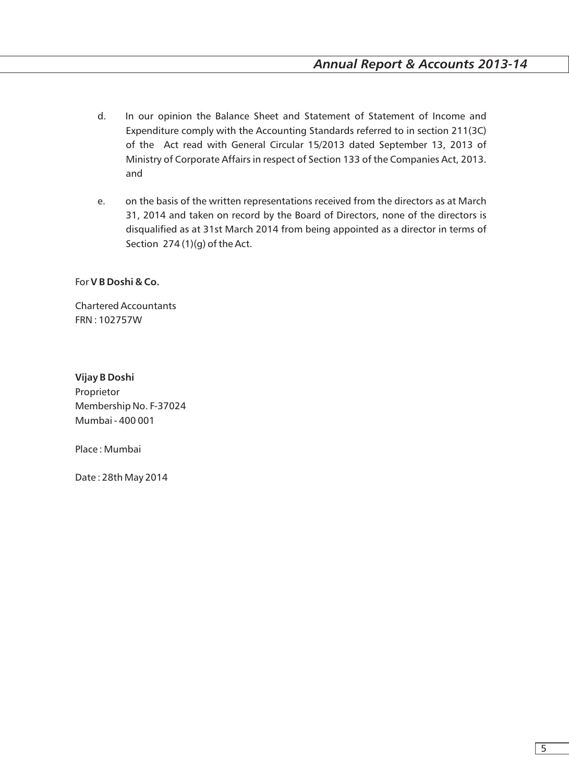- d. In our opinion the Balance Sheet and Statement of Statement of Income and Expenditure comply with the Accounting Standards referred to in section 211(3C) of the Act read with General Circular 15/2013 dated September 13, 2013 of Ministry of Corporate Affairs in respect of Section 133 of the Companies Act, 2013. and
- e. on the basis of the written representations received from the directors as at March 31, 2014 and taken on record by the Board of Directors, none of the directors is disqualified as at 31st March 2014 from being appointed as a director in terms of Section 274 (1)(g) of the Act.

For **V B Doshi & Co.** 

Chartered Accountants FRN : 102757W

**Vijay B Doshi**  Proprietor Membership No. F-37024 Mumbai - 400 001

Place : Mumbai

Date : 28th May 2014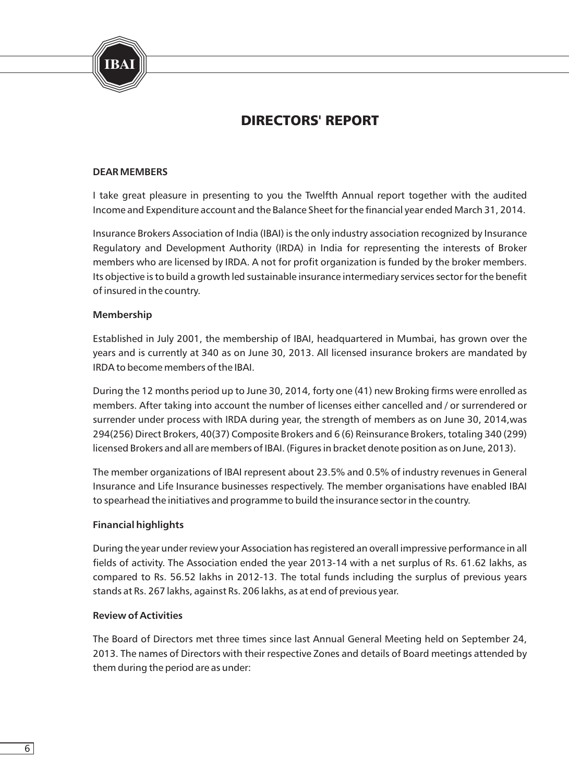

## DIRECTORS' REPORT

#### **DEAR MEMBERS**

I take great pleasure in presenting to you the Twelfth Annual report together with the audited Income and Expenditure account and the Balance Sheet for the financial year ended March 31, 2014.

Insurance Brokers Association of India (IBAI) is the only industry association recognized by Insurance Regulatory and Development Authority (IRDA) in India for representing the interests of Broker members who are licensed by IRDA. A not for profit organization is funded by the broker members. Its objective is to build a growth led sustainable insurance intermediary services sector for the benefit of insured in the country.

#### **Membership**

Established in July 2001, the membership of IBAI, headquartered in Mumbai, has grown over the years and is currently at 340 as on June 30, 2013. All licensed insurance brokers are mandated by IRDA to become members of the IBAI.

During the 12 months period up to June 30, 2014, forty one (41) new Broking firms were enrolled as members. After taking into account the number of licenses either cancelled and / or surrendered or surrender under process with IRDA during year, the strength of members as on June 30, 2014,was 294(256) Direct Brokers, 40(37) Composite Brokers and 6 (6) Reinsurance Brokers, totaling 340 (299) licensed Brokers and all are members of IBAI. (Figures in bracket denote position as on June, 2013).

The member organizations of IBAI represent about 23.5% and 0.5% of industry revenues in General Insurance and Life Insurance businesses respectively. The member organisations have enabled IBAI to spearhead the initiatives and programme to build the insurance sector in the country.

#### **Financial highlights**

During the year under review your Association has registered an overall impressive performance in all fields of activity. The Association ended the year 2013-14 with a net surplus of Rs. 61.62 lakhs, as compared to Rs. 56.52 lakhs in 2012-13. The total funds including the surplus of previous years stands at Rs. 267 lakhs, against Rs. 206 lakhs, as at end of previous year.

#### **Review of Activities**

The Board of Directors met three times since last Annual General Meeting held on September 24, 2013. The names of Directors with their respective Zones and details of Board meetings attended by them during the period are as under: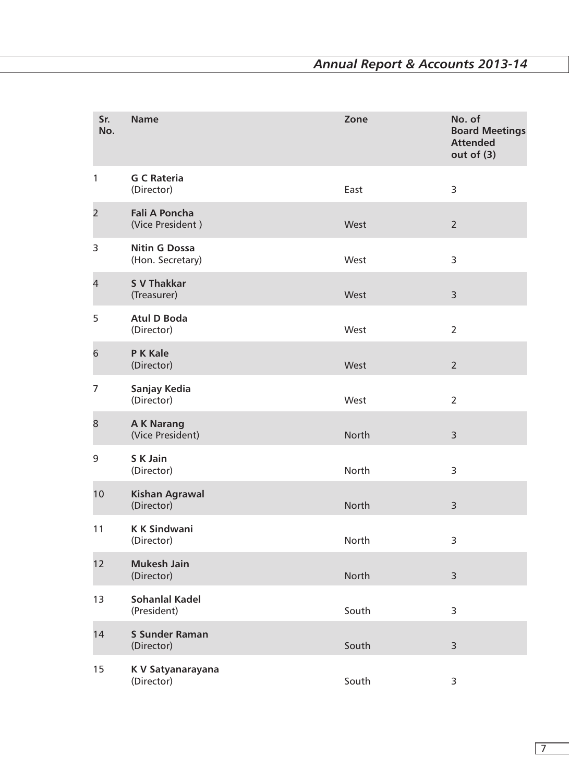| Sr.<br>No.     | <b>Name</b>                              | Zone  | No. of<br><b>Board Meetings</b><br><b>Attended</b><br>out of $(3)$ |
|----------------|------------------------------------------|-------|--------------------------------------------------------------------|
| 1              | <b>G C Rateria</b><br>(Director)         | East  | 3                                                                  |
| $\overline{2}$ | <b>Fali A Poncha</b><br>(Vice President) | West  | $\overline{2}$                                                     |
| 3              | <b>Nitin G Dossa</b><br>(Hon. Secretary) | West  | 3                                                                  |
| 4              | <b>S V Thakkar</b><br>(Treasurer)        | West  | 3                                                                  |
| 5              | <b>Atul D Boda</b><br>(Director)         | West  | $\overline{2}$                                                     |
| 6              | P K Kale<br>(Director)                   | West  | $\overline{2}$                                                     |
| 7              | Sanjay Kedia<br>(Director)               | West  | $\overline{2}$                                                     |
| 8              | <b>AK Narang</b><br>(Vice President)     | North | 3                                                                  |
| 9              | S K Jain<br>(Director)                   | North | 3                                                                  |
| 10             | <b>Kishan Agrawal</b><br>(Director)      | North | 3                                                                  |
| 11             | <b>KK Sindwani</b><br>(Director)         | North | 3                                                                  |
| 12             | <b>Mukesh Jain</b><br>(Director)         | North | 3                                                                  |
| 13             | <b>Sohanlal Kadel</b><br>(President)     | South | 3                                                                  |
| 14             | <b>S Sunder Raman</b><br>(Director)      | South | 3                                                                  |
| 15             | K V Satyanarayana<br>(Director)          | South | 3                                                                  |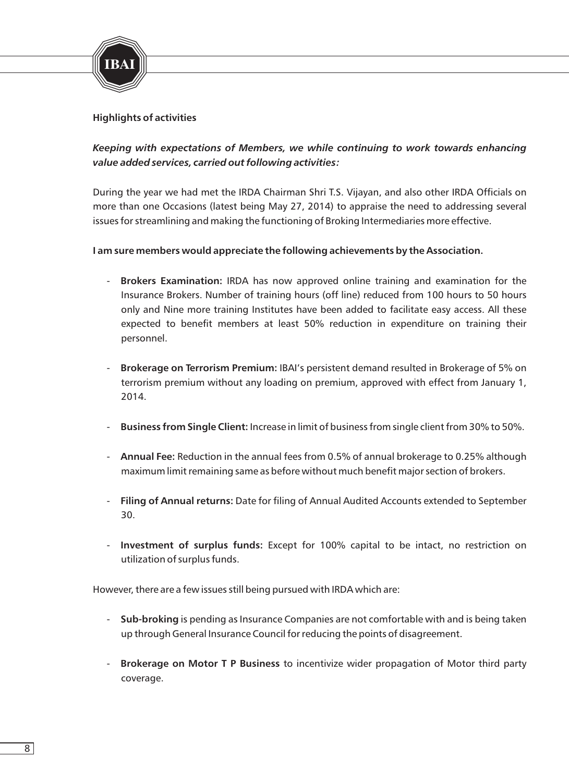

#### **Highlights of activities**

### *Keeping with expectations of Members, we while continuing to work towards enhancing value added services, carried out following activities:*

During the year we had met the IRDA Chairman Shri T.S. Vijayan, and also other IRDA Officials on more than one Occasions (latest being May 27, 2014) to appraise the need to addressing several issues for streamlining and making the functioning of Broking Intermediaries more effective.

#### **I am sure members would appreciate the following achievements by the Association.**

- **Brokers Examination:** IRDA has now approved online training and examination for the Insurance Brokers. Number of training hours (off line) reduced from 100 hours to 50 hours only and Nine more training Institutes have been added to facilitate easy access. All these expected to benefit members at least 50% reduction in expenditure on training their personnel.
- **Brokerage on Terrorism Premium:** IBAI's persistent demand resulted in Brokerage of 5% on terrorism premium without any loading on premium, approved with effect from January 1, 2014.
- **Business from Single Client:** Increase in limit of business from single client from 30% to 50%.
- **Annual Fee:** Reduction in the annual fees from 0.5% of annual brokerage to 0.25% although maximum limit remaining same as before without much benefit major section of brokers.
- **Filing of Annual returns:** Date for filing of Annual Audited Accounts extended to September 30.
- **Investment of surplus funds:** Except for 100% capital to be intact, no restriction on utilization of surplus funds.

However, there are a few issues still being pursued with IRDA which are:

- **Sub-broking** is pending as Insurance Companies are not comfortable with and is being taken up through General Insurance Council for reducing the points of disagreement.
- **Brokerage on Motor T P Business** to incentivize wider propagation of Motor third party coverage.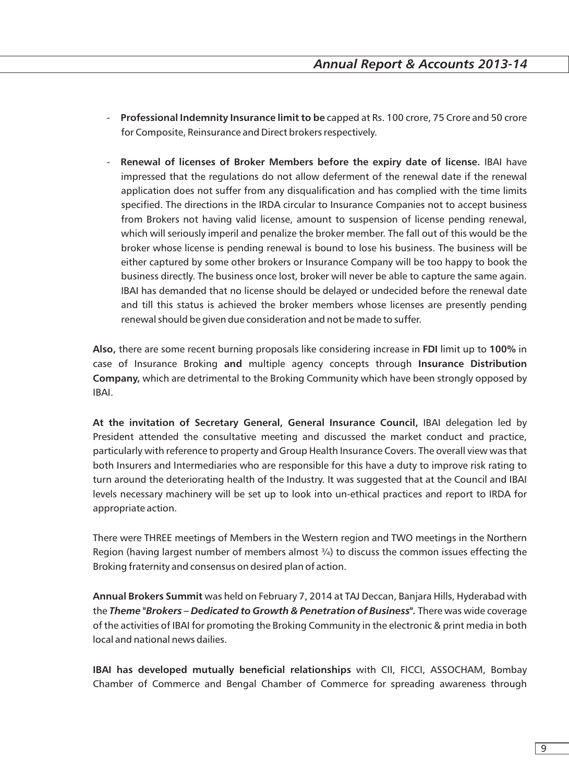- **Professional Indemnity Insurance limit to be** capped at Rs. 100 crore, 75 Crore and 50 crore for Composite, Reinsurance and Direct brokers respectively.
- **Renewal of licenses of Broker Members before the expiry date of license.** IBAI have impressed that the regulations do not allow deferment of the renewal date if the renewal application does not suffer from any disqualification and has complied with the time limits specified. The directions in the IRDA circular to Insurance Companies not to accept business from Brokers not having valid license, amount to suspension of license pending renewal, which will seriously imperil and penalize the broker member. The fall out of this would be the broker whose license is pending renewal is bound to lose his business. The business will be either captured by some other brokers or Insurance Company will be too happy to book the business directly. The business once lost, broker will never be able to capture the same again. IBAI has demanded that no license should be delayed or undecided before the renewal date and till this status is achieved the broker members whose licenses are presently pending renewal should be given due consideration and not be made to suffer.

**Also,** there are some recent burning proposals like considering increase in **FDI** limit up to **100%** in case of Insurance Broking **and** multiple agency concepts through **Insurance Distribution Company,** which are detrimental to the Broking Community which have been strongly opposed by IBAI.

**At the invitation of Secretary General, General Insurance Council,** IBAI delegation led by President attended the consultative meeting and discussed the market conduct and practice, particularly with reference to property and Group Health Insurance Covers. The overall view was that both Insurers and Intermediaries who are responsible for this have a duty to improve risk rating to turn around the deteriorating health of the Industry. It was suggested that at the Council and IBAI levels necessary machinery will be set up to look into un-ethical practices and report to IRDA for appropriate action.

There were THREE meetings of Members in the Western region and TWO meetings in the Northern Region (having largest number of members almost  $\frac{3}{4}$ ) to discuss the common issues effecting the Broking fraternity and consensus on desired plan of action.

**Annual Brokers Summit** was held on February 7, 2014 at TAJ Deccan, Banjara Hills, Hyderabad with the *Theme "Brokers – Dedicated to Growth & Penetration of Business".* There was wide coverage of the activities of IBAI for promoting the Broking Community in the electronic & print media in both local and national news dailies.

**IBAI has developed mutually beneficial relationships** with CII, FICCI, ASSOCHAM, Bombay Chamber of Commerce and Bengal Chamber of Commerce for spreading awareness through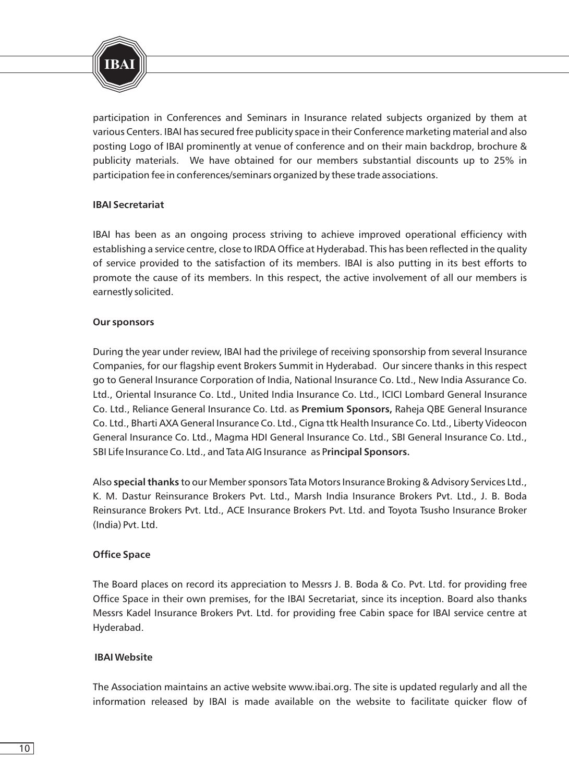

participation in Conferences and Seminars in Insurance related subjects organized by them at various Centers. IBAI has secured free publicity space in their Conference marketing material and also posting Logo of IBAI prominently at venue of conference and on their main backdrop, brochure & publicity materials. We have obtained for our members substantial discounts up to 25% in participation fee in conferences/seminars organized by these trade associations.

#### **IBAI Secretariat**

IBAI has been as an ongoing process striving to achieve improved operational efficiency with establishing a service centre, close to IRDA Office at Hyderabad. This has been reflected in the quality of service provided to the satisfaction of its members. IBAI is also putting in its best efforts to promote the cause of its members. In this respect, the active involvement of all our members is earnestly solicited.

#### **Our sponsors**

During the year under review, IBAI had the privilege of receiving sponsorship from several Insurance Companies, for our flagship event Brokers Summit in Hyderabad. Our sincere thanks in this respect go to General Insurance Corporation of India, National Insurance Co. Ltd., New India Assurance Co. Ltd., Oriental Insurance Co. Ltd., United India Insurance Co. Ltd., ICICI Lombard General Insurance Co. Ltd., Reliance General Insurance Co. Ltd. as **Premium Sponsors,** Raheja QBE General Insurance Co. Ltd., Bharti AXA General Insurance Co. Ltd., Cigna ttk Health Insurance Co. Ltd., Liberty Videocon General Insurance Co. Ltd., Magma HDI General Insurance Co. Ltd., SBI General Insurance Co. Ltd., SBI Life Insurance Co. Ltd., and Tata AIG Insurance as P**rincipal Sponsors.**

Also **special thanks** to our Member sponsors Tata Motors Insurance Broking & Advisory Services Ltd., K. M. Dastur Reinsurance Brokers Pvt. Ltd., Marsh India Insurance Brokers Pvt. Ltd., J. B. Boda Reinsurance Brokers Pvt. Ltd., ACE Insurance Brokers Pvt. Ltd. and Toyota Tsusho Insurance Broker (India) Pvt. Ltd.

#### **Office Space**

The Board places on record its appreciation to Messrs J. B. Boda & Co. Pvt. Ltd. for providing free Office Space in their own premises, for the IBAI Secretariat, since its inception. Board also thanks Messrs Kadel Insurance Brokers Pvt. Ltd. for providing free Cabin space for IBAI service centre at Hyderabad.

#### **IBAI Website**

The Association maintains an active website www.ibai.org. The site is updated regularly and all the information released by IBAI is made available on the website to facilitate quicker flow of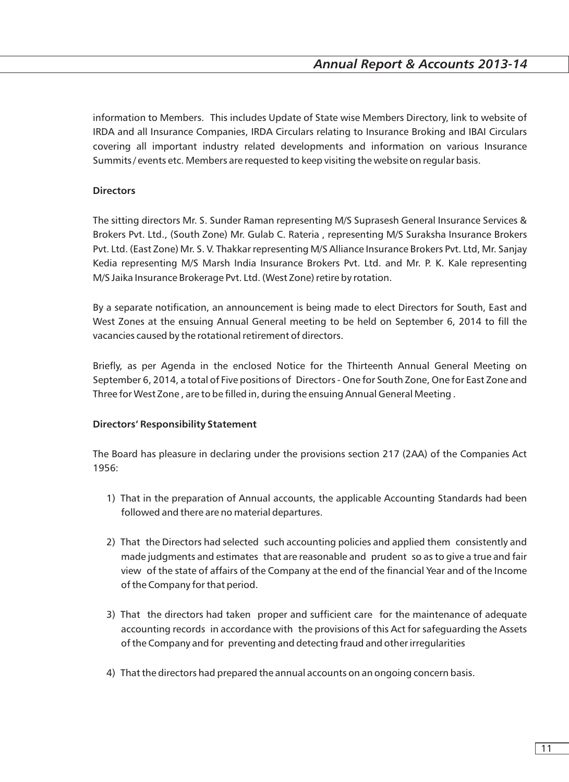information to Members. This includes Update of State wise Members Directory, link to website of IRDA and all Insurance Companies, IRDA Circulars relating to Insurance Broking and IBAI Circulars covering all important industry related developments and information on various Insurance Summits / events etc. Members are requested to keep visiting the website on regular basis.

#### **Directors**

The sitting directors Mr. S. Sunder Raman representing M/S Suprasesh General Insurance Services & Brokers Pvt. Ltd., (South Zone) Mr. Gulab C. Rateria , representing M/S Suraksha Insurance Brokers Pvt. Ltd. (East Zone) Mr. S. V. Thakkar representing M/S Alliance Insurance Brokers Pvt. Ltd, Mr. Sanjay Kedia representing M/S Marsh India Insurance Brokers Pvt. Ltd. and Mr. P. K. Kale representing M/S Jaika Insurance Brokerage Pvt. Ltd. (West Zone) retire by rotation.

By a separate notification, an announcement is being made to elect Directors for South, East and West Zones at the ensuing Annual General meeting to be held on September 6, 2014 to fill the vacancies caused by the rotational retirement of directors.

Briefly, as per Agenda in the enclosed Notice for the Thirteenth Annual General Meeting on September 6, 2014, a total of Five positions of Directors - One for South Zone, One for East Zone and Three for West Zone , are to be filled in, during the ensuing Annual General Meeting .

#### **Directors' Responsibility Statement**

The Board has pleasure in declaring under the provisions section 217 (2AA) of the Companies Act 1956:

- 1) That in the preparation of Annual accounts, the applicable Accounting Standards had been followed and there are no material departures.
- 2) That the Directors had selected such accounting policies and applied them consistently and made judgments and estimates that are reasonable and prudent so as to give a true and fair view of the state of affairs of the Company at the end of the financial Year and of the Income of the Company for that period.
- 3) That the directors had taken proper and sufficient care for the maintenance of adequate accounting records in accordance with the provisions of this Act for safeguarding the Assets of the Company and for preventing and detecting fraud and other irregularities
- 4) That the directors had prepared the annual accounts on an ongoing concern basis.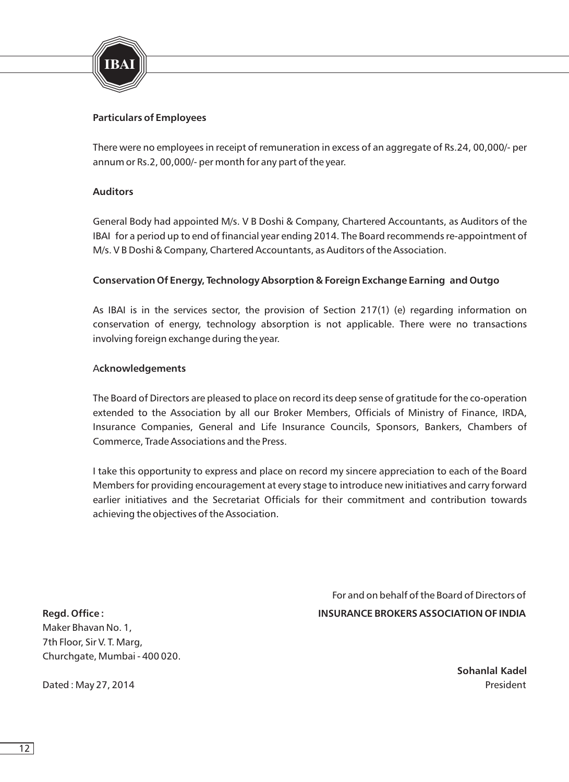

#### **Particulars of Employees**

There were no employees in receipt of remuneration in excess of an aggregate of Rs.24, 00,000/- per annum or Rs.2, 00,000/- per month for any part of the year.

#### **Auditors**

General Body had appointed M/s. V B Doshi & Company, Chartered Accountants, as Auditors of the IBAI for a period up to end of financial year ending 2014. The Board recommends re-appointment of M/s. V B Doshi & Company, Chartered Accountants, as Auditors of the Association.

#### **Conservation Of Energy, Technology Absorption & Foreign Exchange Earning and Outgo**

As IBAI is in the services sector, the provision of Section 217(1) (e) regarding information on conservation of energy, technology absorption is not applicable. There were no transactions involving foreign exchange during the year.

#### A**cknowledgements**

The Board of Directors are pleased to place on record its deep sense of gratitude for the co-operation extended to the Association by all our Broker Members, Officials of Ministry of Finance, IRDA, Insurance Companies, General and Life Insurance Councils, Sponsors, Bankers, Chambers of Commerce, Trade Associations and the Press.

I take this opportunity to express and place on record my sincere appreciation to each of the Board Members for providing encouragement at every stage to introduce new initiatives and carry forward earlier initiatives and the Secretariat Officials for their commitment and contribution towards achieving the objectives of the Association.

 For and on behalf of the Board of Directors of **Regd. Office : INSURANCE BROKERS ASSOCIATION OF INDIA**

Maker Bhavan No. 1, 7th Floor, Sir V. T. Marg, Churchgate, Mumbai - 400 020.

Dated : May 27, 2014 **President** 

**Sohanlal Kadel**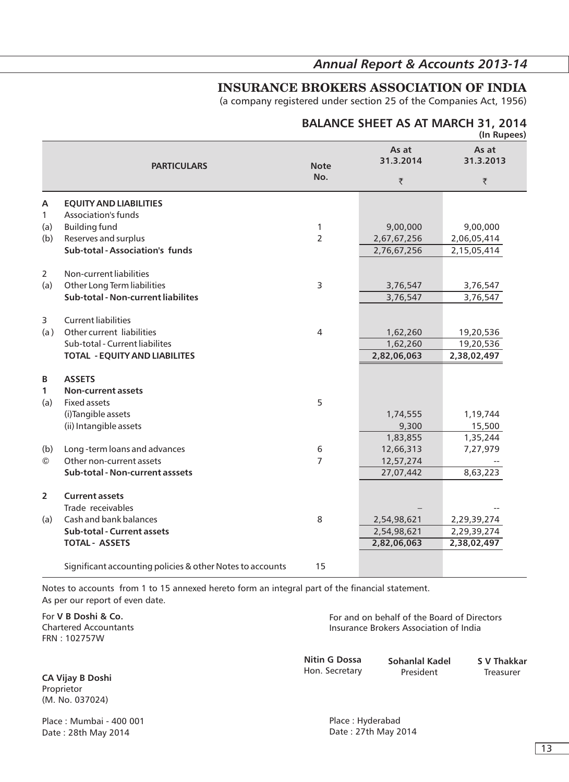### *Annual Report & Accounts 2013-14*

### **INSURANCE BROKERS ASSOCIATION OF INDIA**

(a company registered under section 25 of the Companies Act, 1956)

#### **BALANCE SHEET AS AT MARCH 31, 2014 (In Rupees)**

|                |                                                           |                |                    | (111.18)           |
|----------------|-----------------------------------------------------------|----------------|--------------------|--------------------|
|                | <b>PARTICULARS</b>                                        | <b>Note</b>    | As at<br>31.3.2014 | As at<br>31.3.2013 |
|                |                                                           | No.            | ₹                  | ₹                  |
| A              | <b>EQUITY AND LIABILITIES</b>                             |                |                    |                    |
| $\mathbf{1}$   | Association's funds                                       |                |                    |                    |
| (a)            | <b>Building fund</b>                                      | 1              | 9,00,000           | 9,00,000           |
| (b)            | Reserves and surplus                                      | $\overline{2}$ | 2,67,67,256        | 2,06,05,414        |
|                | Sub-total - Association's funds                           |                | 2,76,67,256        | 2,15,05,414        |
| $\overline{2}$ | Non-current liabilities                                   |                |                    |                    |
| (a)            | Other Long Term liabilities                               | 3              | 3,76,547           | 3,76,547           |
|                | Sub-total - Non-current liabilites                        |                | 3,76,547           | 3,76,547           |
| 3              | <b>Current liabilities</b>                                |                |                    |                    |
| (a)            | Other current liabilities                                 | 4              | 1,62,260           | 19,20,536          |
|                | Sub-total - Current liabilites                            |                | 1,62,260           | 19,20,536          |
|                | <b>TOTAL - EQUITY AND LIABILITES</b>                      |                | 2,82,06,063        | 2,38,02,497        |
| B              | <b>ASSETS</b>                                             |                |                    |                    |
| $\mathbf{1}$   | <b>Non-current assets</b>                                 |                |                    |                    |
| (a)            | <b>Fixed assets</b>                                       | 5              |                    |                    |
|                | (i) Tangible assets                                       |                | 1,74,555           | 1,19,744           |
|                | (ii) Intangible assets                                    |                | 9,300              | 15,500             |
|                |                                                           |                | 1,83,855           | 1,35,244           |
| (b)            | Long-term loans and advances                              | 6              | 12,66,313          | 7,27,979           |
| $\circled{c}$  | Other non-current assets                                  | 7              | 12,57,274          |                    |
|                | Sub-total - Non-current asssets                           |                | 27,07,442          | 8,63,223           |
|                |                                                           |                |                    |                    |
| $\overline{2}$ | <b>Current assets</b>                                     |                |                    |                    |
|                | Trade receivables                                         |                |                    |                    |
| (a)            | Cash and bank balances                                    | 8              | 2,54,98,621        | 2,29,39,274        |
|                | Sub-total - Current assets                                |                | 2,54,98,621        | 2,29,39,274        |
|                | <b>TOTAL - ASSETS</b>                                     |                | 2,82,06,063        | 2,38,02,497        |
|                | Significant accounting policies & other Notes to accounts | 15             |                    |                    |
|                |                                                           |                |                    |                    |

Notes to accounts from 1 to 15 annexed hereto form an integral part of the financial statement. As per our report of even date.

For **V B Doshi & Co.**  Chartered Accountants FRN : 102757W

For and on behalf of the Board of Directors Insurance Brokers Association of India

**Nitin G Dossa** Hon. Secretary

**Sohanlal Kadel** President

**S V Thakkar** Treasurer

**CA Vijay B Doshi**  Proprietor (M. No. 037024)

Place : Mumbai - 400 001 Date : 28th May 2014

Place : Hyderabad Date : 27th May 2014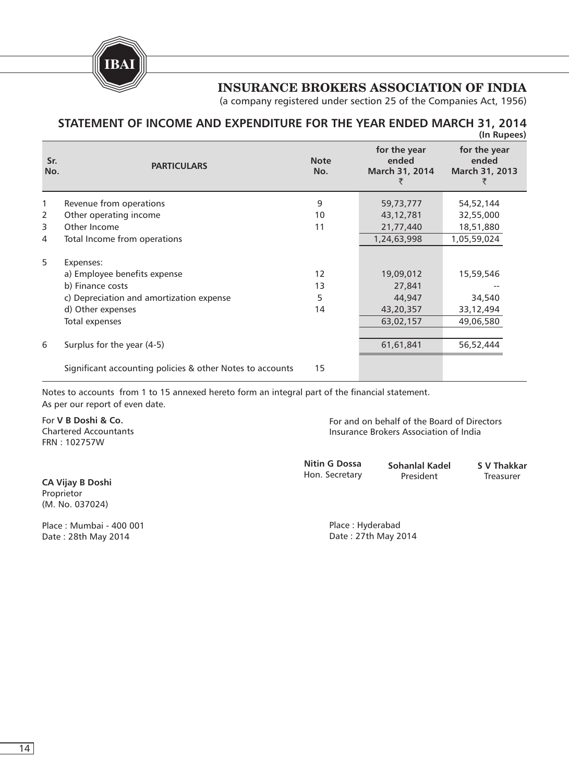**IBAI**

### **INSURANCE BROKERS ASSOCIATION OF INDIA**

(a company registered under section 25 of the Companies Act, 1956)

#### **STATEMENT OF INCOME AND EXPENDITURE FOR THE YEAR ENDED MARCH 31, 2014 (In Rupees)**

| Sr.<br>No.     | <b>PARTICULARS</b>                                        | <b>Note</b><br>No. | for the year<br>ended<br>March 31, 2014 | for the year<br>ended<br>March 31, 2013 |
|----------------|-----------------------------------------------------------|--------------------|-----------------------------------------|-----------------------------------------|
| 1              | Revenue from operations                                   | 9                  | 59,73,777                               | 54,52,144                               |
| 2              | Other operating income                                    | 10                 | 43,12,781                               | 32,55,000                               |
| 3              | Other Income                                              | 11                 | 21,77,440                               | 18,51,880                               |
| $\overline{4}$ | Total Income from operations                              |                    | 1,24,63,998                             | 1,05,59,024                             |
| 5              | Expenses:                                                 |                    |                                         |                                         |
|                | a) Employee benefits expense                              | 12                 | 19,09,012                               | 15,59,546                               |
|                | b) Finance costs                                          | 13                 | 27,841                                  |                                         |
|                | c) Depreciation and amortization expense                  | 5                  | 44,947                                  | 34,540                                  |
|                | d) Other expenses                                         | 14                 | 43,20,357                               | 33,12,494                               |
|                | Total expenses                                            |                    | 63,02,157                               | 49,06,580                               |
|                |                                                           |                    |                                         |                                         |
| 6              | Surplus for the year (4-5)                                |                    | 61,61,841                               | 56,52,444                               |
|                | Significant accounting policies & other Notes to accounts | 15                 |                                         |                                         |

Notes to accounts from 1 to 15 annexed hereto form an integral part of the financial statement. As per our report of even date.

For **V B Doshi & Co.**  Chartered Accountants FRN : 102757W

**CA Vijay B Doshi**  Proprietor (M. No. 037024)

Place : Mumbai - 400 001 Date : 28th May 2014

For and on behalf of the Board of Directors Insurance Brokers Association of India

**Sohanlal Kadel** President **Nitin G Dossa** Hon. Secretary **S V Thakkar** Treasurer

> Place : Hyderabad Date : 27th May 2014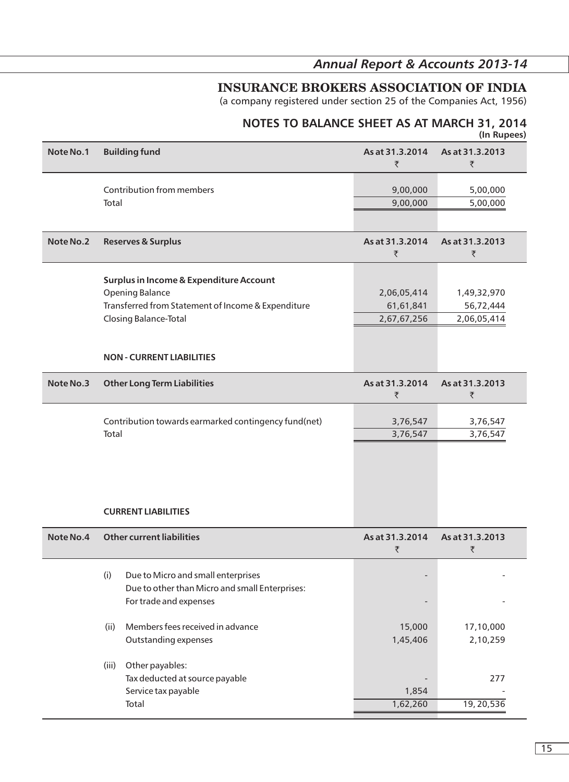### *Annual Report & Accounts 2013-14*

## **INSURANCE BROKERS ASSOCIATION OF INDIA**

(a company registered under section 25 of the Companies Act, 1956)

#### **NOTES TO BALANCE SHEET AS AT MARCH 31, 2014 (In Rupees)**

| Note No.1 | <b>Building fund</b>                                                                                                                                                                 | As at 31.3.2014<br>₹                    | As at 31.3.2013<br>₹                    |
|-----------|--------------------------------------------------------------------------------------------------------------------------------------------------------------------------------------|-----------------------------------------|-----------------------------------------|
|           | Contribution from members<br>Total                                                                                                                                                   | 9,00,000<br>9,00,000                    | 5,00,000<br>5,00,000                    |
| Note No.2 | <b>Reserves &amp; Surplus</b>                                                                                                                                                        | As at 31.3.2014<br>₹                    | As at 31.3.2013<br>₹                    |
|           | Surplus in Income & Expenditure Account<br><b>Opening Balance</b><br>Transferred from Statement of Income & Expenditure<br>Closing Balance-Total<br><b>NON - CURRENT LIABILITIES</b> | 2,06,05,414<br>61,61,841<br>2,67,67,256 | 1,49,32,970<br>56,72,444<br>2,06,05,414 |
| Note No.3 | <b>Other Long Term Liabilities</b>                                                                                                                                                   | As at 31.3.2014<br>₹                    | As at 31.3.2013<br>₹                    |
|           | Contribution towards earmarked contingency fund(net)<br>Total                                                                                                                        | 3,76,547<br>3,76,547                    | 3,76,547<br>3,76,547                    |
|           | <b>CURRENT LIABILITIES</b>                                                                                                                                                           |                                         |                                         |
| Note No.4 | <b>Other current liabilities</b>                                                                                                                                                     | As at 31.3.2014<br>₹                    | As at 31.3.2013<br>₹                    |
|           | Due to Micro and small enterprises<br>(i)<br>Due to other than Micro and small Enterprises:<br>For trade and expenses                                                                |                                         |                                         |
|           | Members fees received in advance<br>(ii)<br>Outstanding expenses                                                                                                                     | 15,000<br>1,45,406                      | 17,10,000<br>2,10,259                   |
|           | Other payables:<br>(iii)<br>Tax deducted at source payable<br>Service tax payable<br>Total                                                                                           | 1,854<br>1,62,260                       | 277<br>19, 20, 536                      |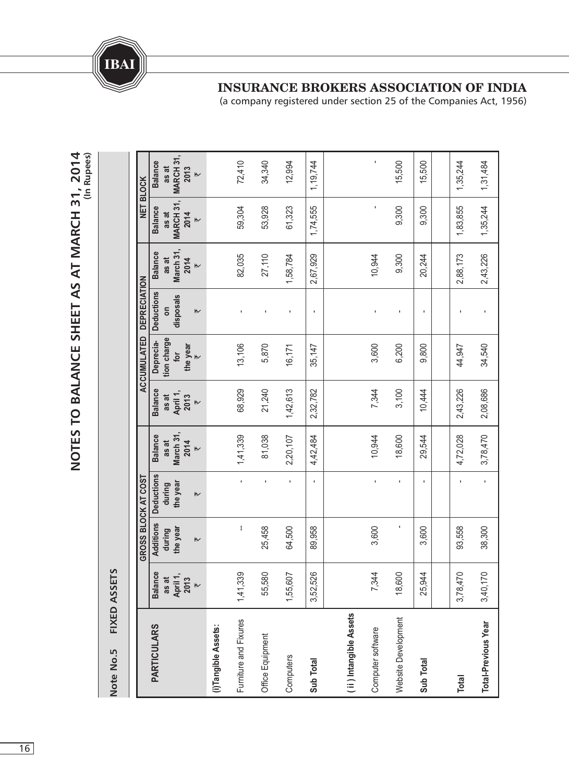

(a company registered under section 25 of the Companies Act, 1956)

**Total**

3,78,470

93,558

4,72,028

2,43,226

44,947

1,83,855

1,35,244

2,88,173

-

1,35,244

1,31,484

2,43,226

-

**Total-Previous Year**

**Total-Previous Year** 

3,40,170

38,300

-

3,78,470

2,08,686

34,540

**014 (In Rupees) MA RCH 31,** -72,410 15,500 15,500 34,340 12,994 **S** Balance Additions Deductions Balance Deprecia- Deductions Balance Balance Balance Balance 1,19,744 **as at 2013** `**NET BLO CK**j **MA RCH 31, Balance** 61,323 -9,300 59,304 53,928 1,74,555 9,300 **as at 2014** `**March 31, Balance** 27,110 9,300 82,035 1,58,784 10,944 20,244 **as at** 2,67,929 **2014** `**CUMULATED DEPRECIATION disposals Deductions on** ----- $\overline{\phantom{a}}$ **tion charge Deprecia-**13,106 5,870 35,147 3,600 6,200 9,800 **the year** 16,171 **for** `**A C**1,42,613 68,929 **Balance** 21,240 2,32,782 7,344 3,100 10,444 **as at April 1, 2013** `2,20,107 **March 31,** 81,038 10,944 18,600 29,544 **Balance** 1,41,339 4,42,484 **as at 2014** `**OST Deductions** -----**during the year GROSS BLO CKAT C**  $\overline{r}$ ֖֚֚֬ **Additions the year**  $\overline{\phantom{a}}$ 25,458 **during** 64,500 89,958 3,600 3,600  $\overline{\mathsf{r}}$ **A SSET SBalance** 25,944 55,580 1,55,607 3,52,526 7,344 18,600 1,41,339 **as at April 1, 2013** `**o.5 FIXED** (ii) Intangible Assets **ii ) Intangible Assets** Website Development Website Development Furniture and Fixures Furniture and Fixures **ULA RS**(i)Tangible Assets **(i)Tangible Assets:** Computer software Computer software Office Equipment Office Equipment **PA RTIC Computers Sub Total Sub Total NNote**

**O T E S T O B A L A N C E S H E E T A S AT M A R C H 31, 2**

**N**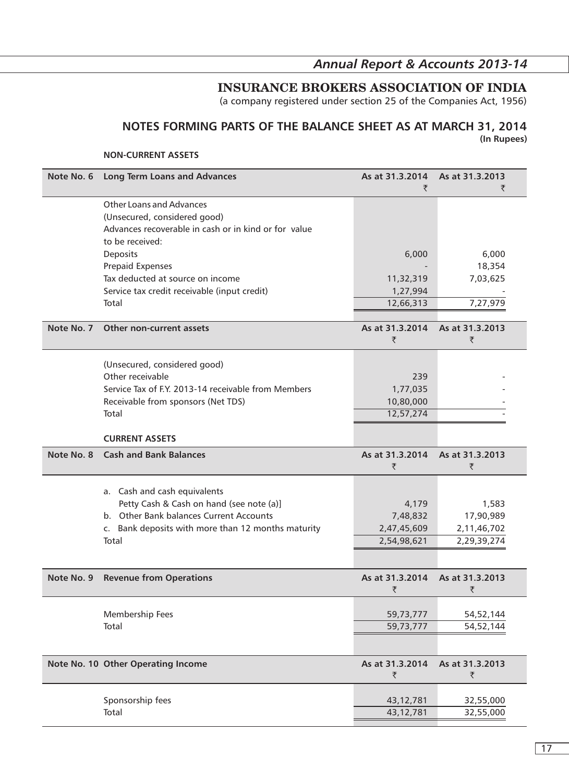## *Annual Report & Accounts 2013-14*

## **INSURANCE BROKERS ASSOCIATION OF INDIA**

(a company registered under section 25 of the Companies Act, 1956)

#### **NOTES FORMING PARTS OF THE BALANCE SHEET AS AT MARCH 31, 2014 (In Rupees)**

#### **NON-CURRENT ASSETS**

| Note No. 6 | <b>Long Term Loans and Advances</b>                  | As at 31.3.2014 | As at 31.3.2013 |
|------------|------------------------------------------------------|-----------------|-----------------|
|            |                                                      | ₹               | ₹               |
|            | <b>Other Loans and Advances</b>                      |                 |                 |
|            | (Unsecured, considered good)                         |                 |                 |
|            | Advances recoverable in cash or in kind or for value |                 |                 |
|            | to be received:                                      |                 |                 |
|            | Deposits                                             | 6,000           | 6,000           |
|            | <b>Prepaid Expenses</b>                              |                 | 18,354          |
|            | Tax deducted at source on income                     | 11,32,319       | 7,03,625        |
|            | Service tax credit receivable (input credit)         | 1,27,994        |                 |
|            | Total                                                | 12,66,313       | 7,27,979        |
|            |                                                      |                 |                 |
| Note No. 7 | Other non-current assets                             | As at 31.3.2014 | As at 31.3.2013 |
|            |                                                      | ₹               | ₹               |
|            |                                                      |                 |                 |
|            | (Unsecured, considered good)                         |                 |                 |
|            | Other receivable                                     | 239             |                 |
|            | Service Tax of F.Y. 2013-14 receivable from Members  | 1,77,035        |                 |
|            | Receivable from sponsors (Net TDS)                   | 10,80,000       |                 |
|            | Total                                                | 12,57,274       |                 |
|            |                                                      |                 |                 |
|            | <b>CURRENT ASSETS</b>                                |                 |                 |
| Note No. 8 | <b>Cash and Bank Balances</b>                        | As at 31.3.2014 | As at 31.3.2013 |
|            |                                                      | ₹               | ₹               |
|            |                                                      |                 |                 |
|            | a. Cash and cash equivalents                         |                 |                 |
|            | Petty Cash & Cash on hand (see note (a)]             | 4,179           | 1,583           |
|            | b. Other Bank balances Current Accounts              | 7,48,832        | 17,90,989       |
|            | c. Bank deposits with more than 12 months maturity   | 2,47,45,609     | 2,11,46,702     |
|            | Total                                                | 2,54,98,621     | 2,29,39,274     |
|            |                                                      |                 |                 |
| Note No. 9 | <b>Revenue from Operations</b>                       | As at 31.3.2014 | As at 31.3.2013 |
|            |                                                      | ₹               | ₹               |
|            |                                                      |                 |                 |
|            | Membership Fees                                      | 59,73,777       | 54,52,144       |
|            | Total                                                | 59,73,777       | 54,52,144       |
|            |                                                      |                 |                 |
|            |                                                      |                 |                 |
|            | Note No. 10 Other Operating Income                   | As at 31.3.2014 | As at 31.3.2013 |
|            |                                                      | ₹               | ₹               |
|            |                                                      |                 |                 |
|            | Sponsorship fees                                     | 43,12,781       | 32,55,000       |
|            | Total                                                | 43,12,781       | 32,55,000       |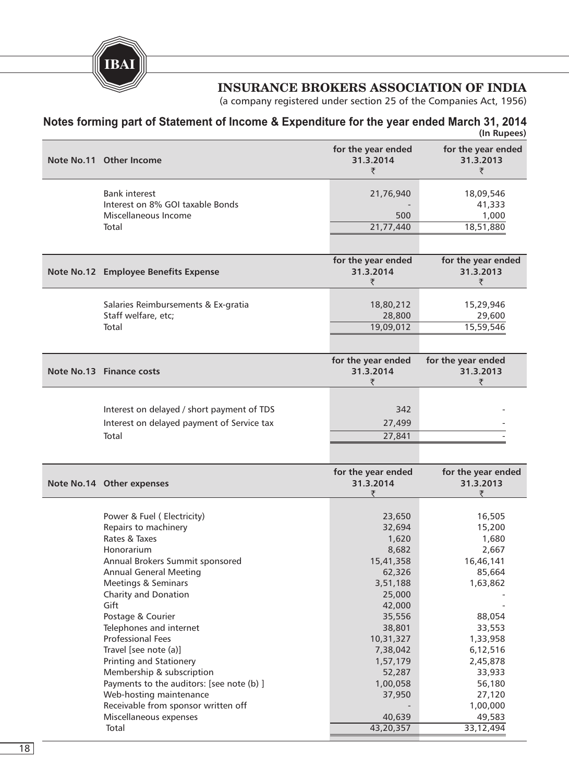**IBAI**

### **INSURANCE BROKERS ASSOCIATION OF INDIA**

(a company registered under section 25 of the Companies Act, 1956)

#### **Notes forming part of Statement of Income & Expenditure for the year ended March 31, 2014 (In Rupees)**

| Note No.11 Other Income                                                                                                                                                                                                                                                                                                                                                                                                                                                                                                     | for the year ended<br>31.3.2014<br>₹                                                                                                                                                                      | for the year ended<br>31.3.2013<br>₹                                                                                                                                                           |
|-----------------------------------------------------------------------------------------------------------------------------------------------------------------------------------------------------------------------------------------------------------------------------------------------------------------------------------------------------------------------------------------------------------------------------------------------------------------------------------------------------------------------------|-----------------------------------------------------------------------------------------------------------------------------------------------------------------------------------------------------------|------------------------------------------------------------------------------------------------------------------------------------------------------------------------------------------------|
| <b>Bank interest</b><br>Interest on 8% GOI taxable Bonds<br>Miscellaneous Income<br>Total                                                                                                                                                                                                                                                                                                                                                                                                                                   | 21,76,940<br>500<br>21,77,440                                                                                                                                                                             | 18,09,546<br>41,333<br>1,000<br>18,51,880                                                                                                                                                      |
|                                                                                                                                                                                                                                                                                                                                                                                                                                                                                                                             |                                                                                                                                                                                                           |                                                                                                                                                                                                |
| Note No.12 Employee Benefits Expense                                                                                                                                                                                                                                                                                                                                                                                                                                                                                        | for the year ended<br>31.3.2014<br>₹                                                                                                                                                                      | for the year ended<br>31.3.2013<br>₹                                                                                                                                                           |
| Salaries Reimbursements & Ex-gratia<br>Staff welfare, etc;<br>Total                                                                                                                                                                                                                                                                                                                                                                                                                                                         | 18,80,212<br>28,800<br>19,09,012                                                                                                                                                                          | 15,29,946<br>29,600<br>15,59,546                                                                                                                                                               |
| Note No.13 Finance costs                                                                                                                                                                                                                                                                                                                                                                                                                                                                                                    | for the year ended<br>31.3.2014<br>₹                                                                                                                                                                      | for the year ended<br>31.3.2013<br>₹                                                                                                                                                           |
| Interest on delayed / short payment of TDS<br>Interest on delayed payment of Service tax<br>Total                                                                                                                                                                                                                                                                                                                                                                                                                           | 342<br>27,499<br>27,841                                                                                                                                                                                   |                                                                                                                                                                                                |
| Note No.14 Other expenses                                                                                                                                                                                                                                                                                                                                                                                                                                                                                                   | for the year ended<br>31.3.2014<br>₹                                                                                                                                                                      | for the year ended<br>31.3.2013<br>₹                                                                                                                                                           |
| Power & Fuel (Electricity)<br>Repairs to machinery<br>Rates & Taxes<br>Honorarium<br>Annual Brokers Summit sponsored<br><b>Annual General Meeting</b><br>Meetings & Seminars<br>Charity and Donation<br>Gift<br>Postage & Courier<br>Telephones and internet<br><b>Professional Fees</b><br>Travel [see note (a)]<br>Printing and Stationery<br>Membership & subscription<br>Payments to the auditors: [see note (b) ]<br>Web-hosting maintenance<br>Receivable from sponsor written off<br>Miscellaneous expenses<br>Total | 23,650<br>32,694<br>1,620<br>8,682<br>15,41,358<br>62,326<br>3,51,188<br>25,000<br>42,000<br>35,556<br>38,801<br>10,31,327<br>7,38,042<br>1,57,179<br>52,287<br>1,00,058<br>37,950<br>40,639<br>43,20,357 | 16,505<br>15,200<br>1,680<br>2,667<br>16,46,141<br>85,664<br>1,63,862<br>88,054<br>33,553<br>1,33,958<br>6,12,516<br>2,45,878<br>33,933<br>56,180<br>27,120<br>1,00,000<br>49,583<br>33,12,494 |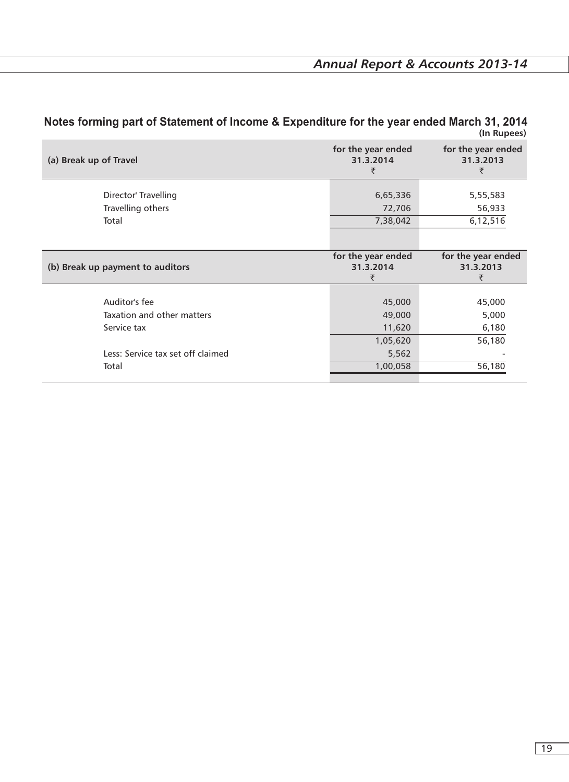| (a) Break up of Travel                                     | for the year ended<br>31.3.2014<br>₹   | for the year ended<br>31.3.2013<br>₹ |
|------------------------------------------------------------|----------------------------------------|--------------------------------------|
| Director' Travelling<br>Travelling others<br>Total         | 6,65,336<br>72,706<br>7,38,042         | 5,55,583<br>56,933<br>6,12,516       |
| (b) Break up payment to auditors                           | for the year ended<br>31.3.2014<br>₹   | for the year ended<br>31.3.2013<br>₹ |
| Auditor's fee<br>Taxation and other matters<br>Service tax | 45,000<br>49,000<br>11,620<br>1,05,620 | 45,000<br>5,000<br>6,180<br>56,180   |
| Less: Service tax set off claimed<br>Total                 | 5,562<br>1,00,058                      | 56,180                               |

#### **Notes forming part of Statement of Income & Expenditure for the year ended March 31, 2014 (In Rupees)**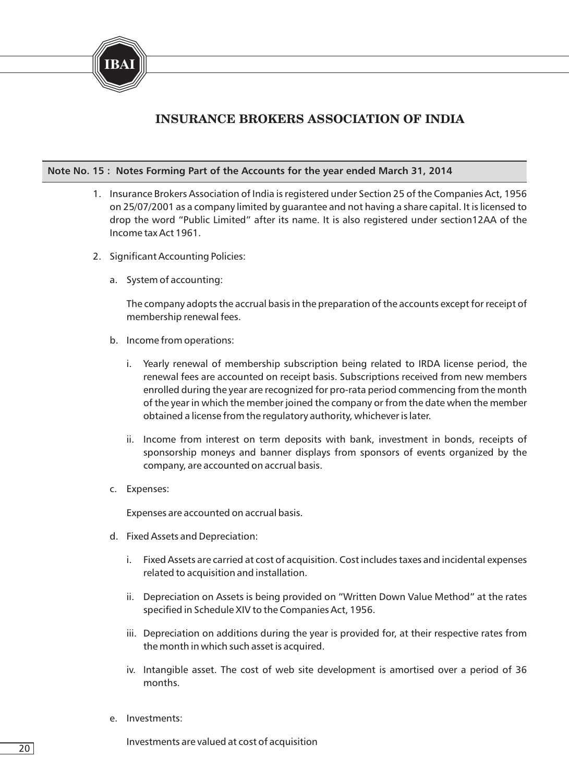

#### **Note No. 15 : Notes Forming Part of the Accounts for the year ended March 31, 2014**

- 1. Insurance Brokers Association of India is registered under Section 25 of the Companies Act, 1956 on 25/07/2001 as a company limited by guarantee and not having a share capital. It is licensed to drop the word "Public Limited" after its name. It is also registered under section12AA of the Income tax Act 1961.
- 2. Significant Accounting Policies:
	- a. System of accounting:

The company adopts the accrual basis in the preparation of the accounts except for receipt of membership renewal fees.

- b. Income from operations:
	- i. Yearly renewal of membership subscription being related to IRDA license period, the renewal fees are accounted on receipt basis. Subscriptions received from new members enrolled during the year are recognized for pro-rata period commencing from the month of the year in which the member joined the company or from the date when the member obtained a license from the regulatory authority, whichever is later.
	- ii. Income from interest on term deposits with bank, investment in bonds, receipts of sponsorship moneys and banner displays from sponsors of events organized by the company, are accounted on accrual basis.
- c. Expenses:

Expenses are accounted on accrual basis.

- d. Fixed Assets and Depreciation:
	- i. Fixed Assets are carried at cost of acquisition. Cost includes taxes and incidental expenses related to acquisition and installation.
	- ii. Depreciation on Assets is being provided on "Written Down Value Method" at the rates specified in Schedule XIV to the Companies Act, 1956.
	- iii. Depreciation on additions during the year is provided for, at their respective rates from the month in which such asset is acquired.
	- iv. Intangible asset. The cost of web site development is amortised over a period of 36 months.
- e. Investments:

Investments are valued at cost of acquisition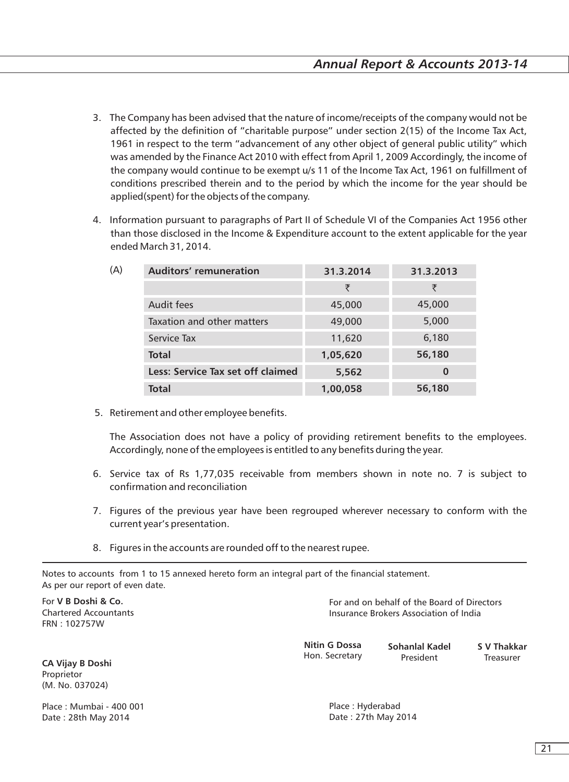- 3. The Company has been advised that the nature of income/receipts of the company would not be affected by the definition of "charitable purpose" under section 2(15) of the Income Tax Act, 1961 in respect to the term "advancement of any other object of general public utility" which was amended by the Finance Act 2010 with effect from April 1, 2009 Accordingly, the income of the company would continue to be exempt u/s 11 of the Income Tax Act, 1961 on fulfillment of conditions prescribed therein and to the period by which the income for the year should be applied(spent) for the objects of the company.
- 4. Information pursuant to paragraphs of Part II of Schedule VI of the Companies Act 1956 other than those disclosed in the Income & Expenditure account to the extent applicable for the year ended March 31, 2014.

| (A) | Auditors' remuneration            | 31.3.2014 | 31.3.2013 |
|-----|-----------------------------------|-----------|-----------|
|     |                                   | ₹         | ₹         |
|     | Audit fees                        | 45,000    | 45,000    |
|     | Taxation and other matters        | 49,000    | 5,000     |
|     | Service Tax                       | 11,620    | 6,180     |
|     | <b>Total</b>                      | 1,05,620  | 56,180    |
|     | Less: Service Tax set off claimed | 5,562     | 0         |
|     | <b>Total</b>                      | 1,00,058  | 56,180    |
|     |                                   |           |           |

5. Retirement and other employee benefits.

The Association does not have a policy of providing retirement benefits to the employees. Accordingly, none of the employees is entitled to any benefits during the year.

- 6. Service tax of Rs 1,77,035 receivable from members shown in note no. 7 is subject to confirmation and reconciliation
- 7. Figures of the previous year have been regrouped wherever necessary to conform with the current year's presentation.
- 8. Figures in the accounts are rounded off to the nearest rupee.

Notes to accounts from 1 to 15 annexed hereto form an integral part of the financial statement. As per our report of even date.

For **V B Doshi & Co.**  Chartered Accountants FRN : 102757W

For and on behalf of the Board of Directors Insurance Brokers Association of India

| <b>Nitin G Dossa</b> | Sohanlal Kadel | S V Thakkar |
|----------------------|----------------|-------------|
| Hon. Secretary       | President      | Treasurer   |

**CA Vijay B Doshi**  Proprietor (M. No. 037024)

Place : Mumbai - 400 001 Date : 28th May 2014

Place : Hyderabad Date : 27th May 2014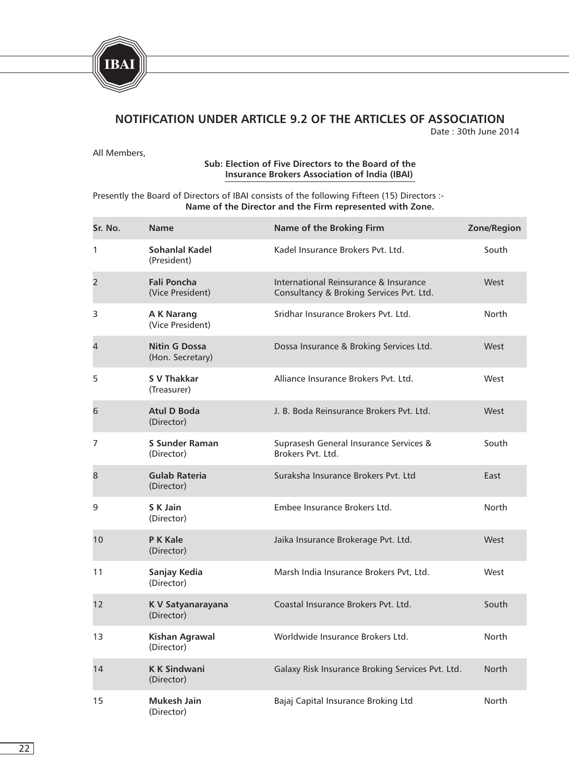

## **NOTIFICATION UNDER ARTICLE 9.2 OF THE ARTICLES OF ASSOCIATION**

Date : 30th June 2014

All Members,

#### **Sub: Election of Five Directors to the Board of the Insurance Brokers Association of lndia (IBAI)**

#### Presently the Board of Directors of IBAI consists of the following Fifteen (15) Directors :-**Name of the Director and the Firm represented with Zone.**

| Sr. No.        | <b>Name</b>                              | Name of the Broking Firm                                                          | Zone/Region  |
|----------------|------------------------------------------|-----------------------------------------------------------------------------------|--------------|
| 1              | Sohanlal Kadel<br>(President)            | Kadel Insurance Brokers Pvt. Ltd.                                                 | South        |
| $\overline{2}$ | <b>Fali Poncha</b><br>(Vice President)   | International Reinsurance & Insurance<br>Consultancy & Broking Services Pvt. Ltd. | West         |
| 3              | <b>AK Narang</b><br>(Vice President)     | Sridhar Insurance Brokers Pvt. Ltd.                                               | North        |
| 4              | <b>Nitin G Dossa</b><br>(Hon. Secretary) | Dossa Insurance & Broking Services Ltd.                                           | West         |
| 5              | <b>S V Thakkar</b><br>(Treasurer)        | Alliance Insurance Brokers Pyt. Ltd.                                              | West         |
| 6              | <b>Atul D Boda</b><br>(Director)         | J. B. Boda Reinsurance Brokers Pyt. Ltd.                                          | West         |
| 7              | <b>S Sunder Raman</b><br>(Director)      | Suprasesh General Insurance Services &<br>Brokers Pvt. Ltd.                       | South        |
| 8              | <b>Gulab Rateria</b><br>(Director)       | Suraksha Insurance Brokers Pyt. Ltd                                               | East         |
| 9              | S K Jain<br>(Director)                   | Embee Insurance Brokers Ltd.                                                      | North        |
| 10             | <b>PK Kale</b><br>(Director)             | Jaika Insurance Brokerage Pvt. Ltd.                                               | West         |
| 11             | Sanjay Kedia<br>(Director)               | Marsh India Insurance Brokers Pvt, Ltd.                                           | West         |
| 12             | K V Satyanarayana<br>(Director)          | Coastal Insurance Brokers Pvt. Ltd.                                               | South        |
| 13             | <b>Kishan Agrawal</b><br>(Director)      | Worldwide Insurance Brokers Ltd.                                                  | North        |
| 14             | <b>K K Sindwani</b><br>(Director)        | Galaxy Risk Insurance Broking Services Pvt. Ltd.                                  | <b>North</b> |
| 15             | Mukesh Jain<br>(Director)                | Bajaj Capital Insurance Broking Ltd                                               | North        |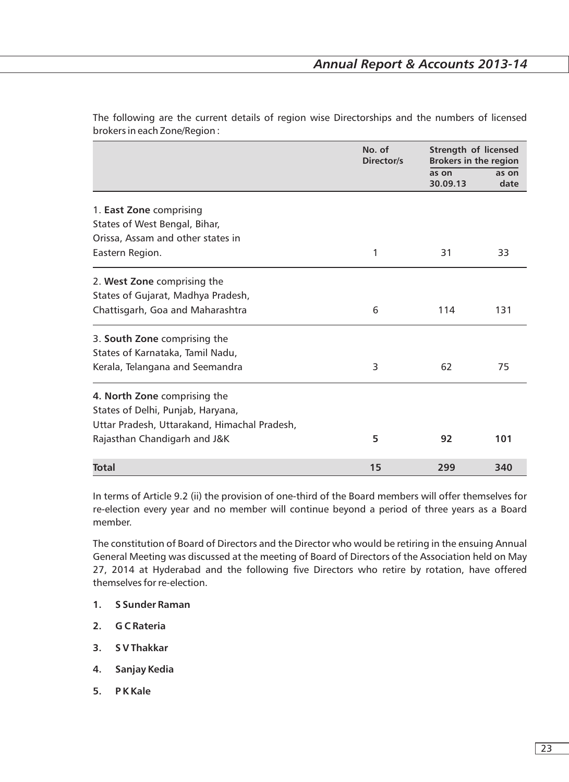|                                              | No. of<br>Director/s | <b>Strength of licensed</b><br><b>Brokers in the region</b> |               |  |
|----------------------------------------------|----------------------|-------------------------------------------------------------|---------------|--|
|                                              |                      | as on<br>30.09.13                                           | as on<br>date |  |
| 1. East Zone comprising                      |                      |                                                             |               |  |
| States of West Bengal, Bihar,                |                      |                                                             |               |  |
| Orissa, Assam and other states in            |                      |                                                             |               |  |
| Eastern Region.                              | 1                    | 31                                                          | 33            |  |
| 2. West Zone comprising the                  |                      |                                                             |               |  |
| States of Gujarat, Madhya Pradesh,           |                      |                                                             |               |  |
| Chattisgarh, Goa and Maharashtra             | 6                    | 114                                                         | 131           |  |
| 3. South Zone comprising the                 |                      |                                                             |               |  |
| States of Karnataka, Tamil Nadu,             |                      |                                                             |               |  |
| Kerala, Telangana and Seemandra              | 3                    | 62                                                          | 75            |  |
| 4. North Zone comprising the                 |                      |                                                             |               |  |
| States of Delhi, Punjab, Haryana,            |                      |                                                             |               |  |
| Uttar Pradesh, Uttarakand, Himachal Pradesh, |                      |                                                             |               |  |
| Rajasthan Chandigarh and J&K                 | 5                    | 92                                                          | 101           |  |
| <b>Total</b>                                 | 15                   | 299                                                         | 340           |  |

The following are the current details of region wise Directorships and the numbers of licensed brokers in each Zone/Region :

In terms of Article 9.2 (ii) the provision of one-third of the Board members will offer themselves for re-election every year and no member will continue beyond a period of three years as a Board member.

The constitution of Board of Directors and the Director who would be retiring in the ensuing Annual General Meeting was discussed at the meeting of Board of Directors of the Association held on May 27, 2014 at Hyderabad and the following five Directors who retire by rotation, have offered themselves for re-election.

- **1. S Sunder Raman**
- **2. G C Rateria**
- **3. S V Thakkar**
- **4. Sanjay Kedia**
- **5. P K Kale**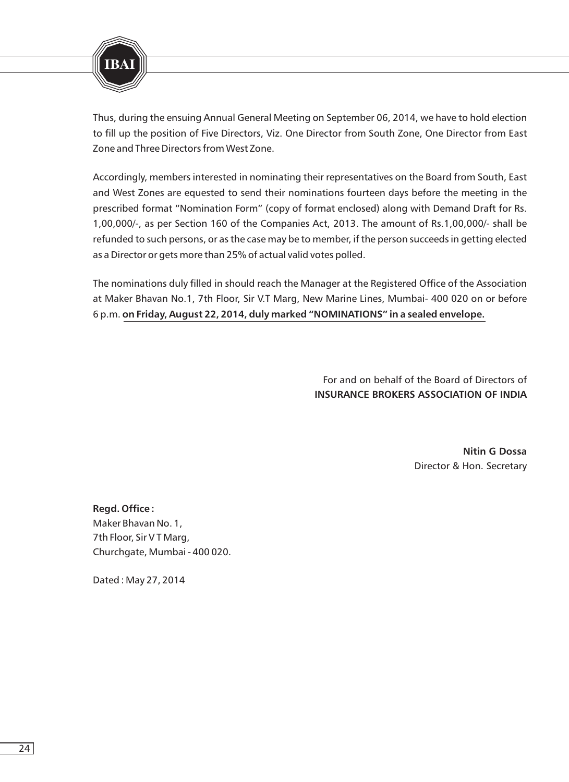

Thus, during the ensuing Annual General Meeting on September 06, 2014, we have to hold election to fill up the position of Five Directors, Viz. One Director from South Zone, One Director from East Zone and Three Directors from West Zone.

Accordingly, members interested in nominating their representatives on the Board from South, East and West Zones are equested to send their nominations fourteen days before the meeting in the prescribed format "Nomination Form" (copy of format enclosed) along with Demand Draft for Rs. 1,00,000/-, as per Section 160 of the Companies Act, 2013. The amount of Rs.1,00,000/- shall be refunded to such persons, or as the case may be to member, if the person succeeds in getting elected as a Director or gets more than 25% of actual valid votes polled.

The nominations duly filled in should reach the Manager at the Registered Office of the Association at Maker Bhavan No.1, 7th Floor, Sir V.T Marg, New Marine Lines, Mumbai- 400 020 on or before 6 p.m. **on Friday, August 22, 2014, duly marked "NOMINATIONS" in a sealed envelope.**

> For and on behalf of the Board of Directors of **INSURANCE BROKERS ASSOCIATION OF INDIA**

> > **Nitin G Dossa** Director & Hon. Secretary

**Regd. Office :** Maker Bhavan No. 1, 7th Floor, Sir V T Marg, Churchgate, Mumbai - 400 020.

Dated : May 27, 2014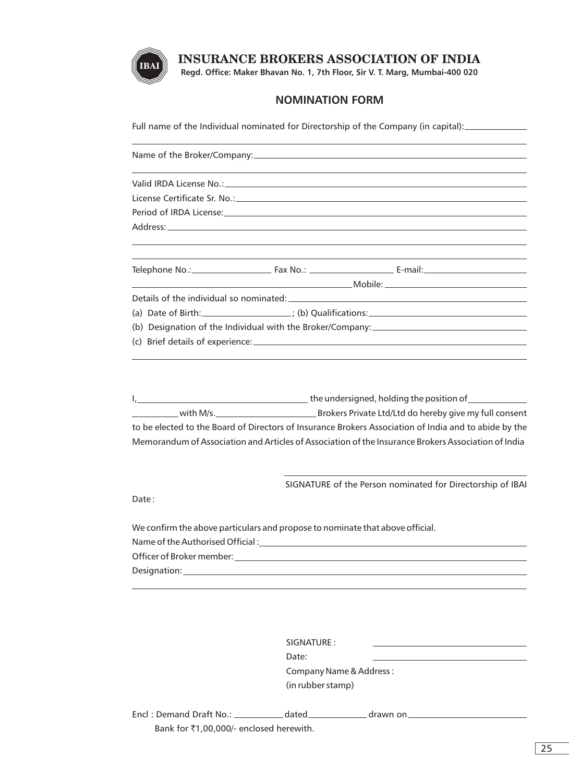

**Regd. Office: Maker Bhavan No. 1, 7th Floor, Sir V. T. Marg, Mumbai-400 020**

#### **NOMINATION FORM**

Full name of the Individual nominated for Directorship of the Company (in capital):

|                                                                               |  | and the control of the control of the control of the control of the control of the control of the control of the                                                                                                                                                                                                                   |  |  |  |  |
|-------------------------------------------------------------------------------|--|------------------------------------------------------------------------------------------------------------------------------------------------------------------------------------------------------------------------------------------------------------------------------------------------------------------------------------|--|--|--|--|
|                                                                               |  |                                                                                                                                                                                                                                                                                                                                    |  |  |  |  |
|                                                                               |  |                                                                                                                                                                                                                                                                                                                                    |  |  |  |  |
|                                                                               |  | Details of the individual so nominated: Details and the individual solution of the individual solution of the individual solution of the individual solution of the individual solution of the individual solution of the indi                                                                                                     |  |  |  |  |
|                                                                               |  | (a) Date of Birth: $\qquad \qquad$ $\qquad$ $\qquad$ $\qquad$ $\qquad$ $\qquad$ $\qquad$ $\qquad$ $\qquad$ $\qquad$ $\qquad$ $\qquad$ $\qquad$ $\qquad$ $\qquad$ $\qquad$ $\qquad$ $\qquad$ $\qquad$ $\qquad$ $\qquad$ $\qquad$ $\qquad$ $\qquad$ $\qquad$ $\qquad$ $\qquad$ $\qquad$ $\qquad$ $\qquad$ $\qquad$ $\qquad$ $\qquad$ |  |  |  |  |
|                                                                               |  |                                                                                                                                                                                                                                                                                                                                    |  |  |  |  |
|                                                                               |  |                                                                                                                                                                                                                                                                                                                                    |  |  |  |  |
|                                                                               |  | and the control of the control of the control of the control of the control of the control of the control of the                                                                                                                                                                                                                   |  |  |  |  |
|                                                                               |  | to be elected to the Board of Directors of Insurance Brokers Association of India and to abide by the                                                                                                                                                                                                                              |  |  |  |  |
|                                                                               |  | Memorandum of Association and Articles of Association of the Insurance Brokers Association of India                                                                                                                                                                                                                                |  |  |  |  |
|                                                                               |  | SIGNATURE of the Person nominated for Directorship of IBAI                                                                                                                                                                                                                                                                         |  |  |  |  |
| Date:                                                                         |  |                                                                                                                                                                                                                                                                                                                                    |  |  |  |  |
| We confirm the above particulars and propose to nominate that above official. |  |                                                                                                                                                                                                                                                                                                                                    |  |  |  |  |
| Name of the Authorised Official:                                              |  |                                                                                                                                                                                                                                                                                                                                    |  |  |  |  |

Officer of Broker member:

Designation:

| SIGNATURE:              |
|-------------------------|
| Date:                   |
| Company Name & Address: |
| (in rubber stamp)       |
|                         |

Encl : Demand Draft No.: \_\_\_\_\_\_\_\_\_\_\_\_ dated \_\_\_\_\_\_\_\_\_\_\_\_ drawn on \_\_\_\_\_\_\_\_\_\_\_\_\_\_ Bank for ₹1,00,000/- enclosed herewith.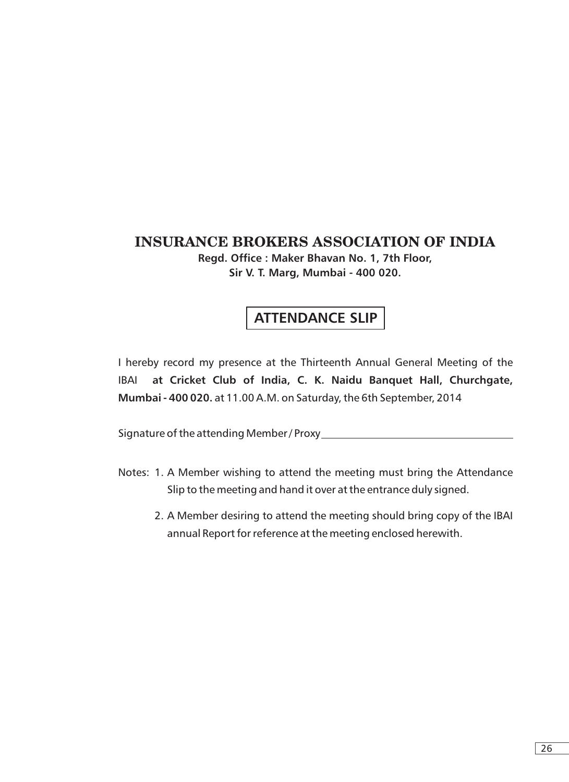**Regd. Office : Maker Bhavan No. 1, 7th Floor, Sir V. T. Marg, Mumbai - 400 020.**

## **ATTENDANCE SLIP**

I hereby record my presence at the Thirteenth Annual General Meeting of the **IBAI Mumbai - 400 020.** at 11.00 A.M. on Saturday, the 6th September, 2014 **Cricket Club of India, C. K. Naidu Banquet Hall, Churchgate,** 

Signature of the attending Member / Proxy

- Notes: 1. A Member wishing to attend the meeting must bring the Attendance Slip to the meeting and hand it over at the entrance duly signed.
	- 2. A Member desiring to attend the meeting should bring copy of the IBAI annual Report for reference at the meeting enclosed herewith.